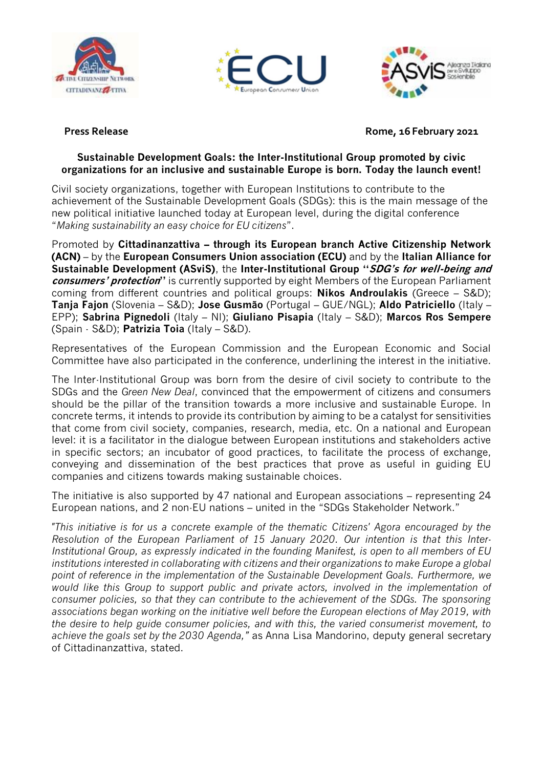





**Press Release Release Rome, 16 February 2021** 

## **Sustainable Development Goals: the Inter-Institutional Group promoted by civic organizations for an inclusive and sustainable Europe is born. Today the launch event!**

Civil society organizations, together with European Institutions to contribute to the achievement of the Sustainable Development Goals (SDGs): this is the main message of the new political initiative launched today at European level, during the digital conference "*Making sustainability an easy choice for EU citizens*".

Promoted by **Cittadinanzattiva – through its European branch Active Citizenship Network (ACN)** – by the **European Consumers Union association (ECU)** and by the **Italian Alliance for Sustainable Development (ASviS)**, the **Inter-Institutional Group "SDG's for well-being and consumers' protection"** is currently supported by eight Members of the European Parliament coming from different countries and political groups: **Nikos Androulakis** (Greece – S&D); **Tanja Fajon** (Slovenia – S&D); **Jose Gusmão** (Portugal – GUE/NGL); **Aldo Patriciello** (Italy – EPP); **Sabrina Pignedoli** (Italy – NI); **Giuliano Pisapia** (Italy – S&D); **Marcos Ros Sempere** (Spain - S&D); **Patrizia Toia** (Italy – S&D).

Representatives of the European Commission and the European Economic and Social Committee have also participated in the conference, underlining the interest in the initiative.

The Inter-Institutional Group was born from the desire of civil society to contribute to the SDGs and the *Green New Deal*, convinced that the empowerment of citizens and consumers should be the pillar of the transition towards a more inclusive and sustainable Europe. In concrete terms, it intends to provide its contribution by aiming to be a catalyst for sensitivities that come from civil society, companies, research, media, etc. On a national and European level: it is a facilitator in the dialogue between European institutions and stakeholders active in specific sectors; an incubator of good practices, to facilitate the process of exchange, conveying and dissemination of the best practices that prove as useful in guiding EU companies and citizens towards making sustainable choices.

The initiative is also supported by 47 national and European associations – representing 24 European nations, and 2 non-EU nations – united in the "SDGs Stakeholder Network."

*"This initiative is for us a concrete example of the thematic Citizens' Agora encouraged by the Resolution of the European Parliament of 15 January 2020. Our intention is that this Inter-Institutional Group, as expressly indicated in the founding Manifest, is open to all members of EU institutions interested in collaborating with citizens and their organizations to make Europe a global point of reference in the implementation of the Sustainable Development Goals. Furthermore, we would like this Group to support public and private actors, involved in the implementation of consumer policies, so that they can contribute to the achievement of the SDGs. The sponsoring associations began working on the initiative well before the European elections of May 2019, with the desire to help guide consumer policies, and with this, the varied consumerist movement, to achieve the goals set by the 2030 Agenda,"* as Anna Lisa Mandorino, deputy general secretary of Cittadinanzattiva, stated.